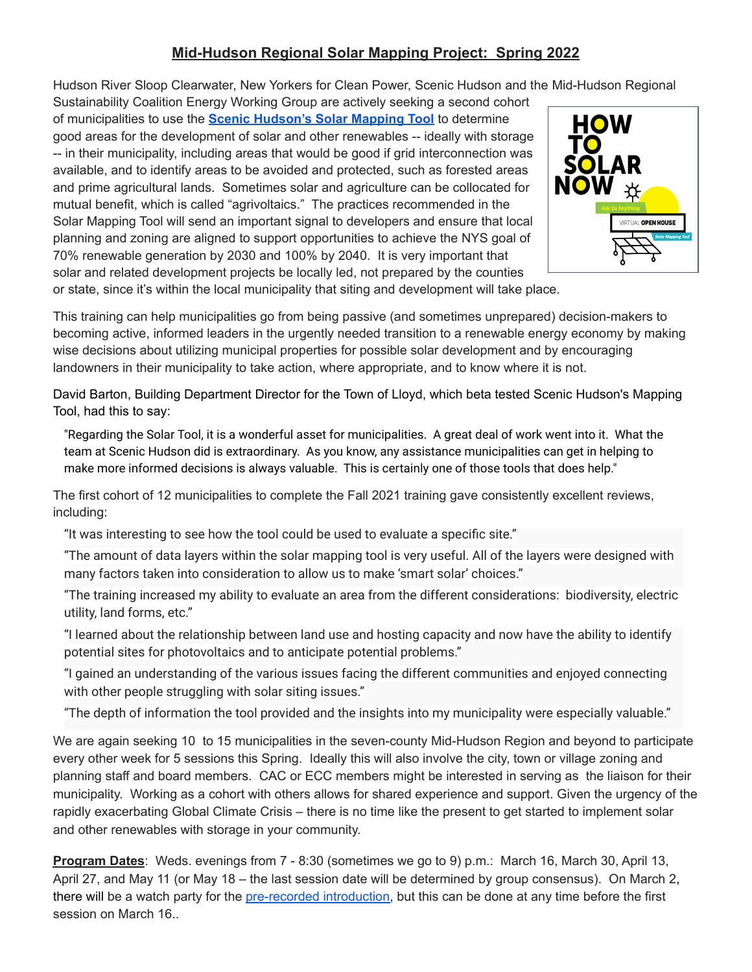## **Mid-Hudson Regional Solar Mapping Project: Spring 2022**

Hudson River Sloop Clearwater, New Yorkers for Clean Power, Scenic Hudson and the Mid-Hudson Regional

Sustainability Coalition Energy Working Group are actively seeking a second cohort of municipalities to use the **[Scenic Hudson's Solar](https://www.scenichudson.org/our-work/climate/renewable-energy/welcome-to-scenic-hudsons-solar-mapping-tool/) Mapping Tool** to determine good areas for the development of solar and other renewables -- ideally with storage -- in their municipality, including areas that would be good if grid interconnection was available, and to identify areas to be avoided and protected, such as forested areas and prime agricultural lands. Sometimes solar and agriculture can be collocated for mutual benefit, which is called "agrivoltaics." The practices recommended in the Solar Mapping Tool will send an important signal to developers and ensure that local planning and zoning are aligned to support opportunities to achieve the NYS goal of 70% renewable generation by 2030 and 100% by 2040. It is very important that solar and related development projects be locally led, not prepared by the counties



or state, since it's within the local municipality that siting and development will take place.

This training can help municipalities go from being passive (and sometimes unprepared) decision-makers to becoming active, informed leaders in the urgently needed transition to a renewable energy economy by making wise decisions about utilizing municipal properties for possible solar development and by encouraging landowners in their municipality to take action, where appropriate, and to know where it is not.

David Barton, Building Department Director for the Town of Lloyd, which beta tested Scenic Hudson's Mapping Tool, had this to say:

"Regarding the Solar Tool, it is a wonderful asset for municipalities. A great deal of work went into it. What the team at Scenic Hudson did is extraordinary. As you know, any assistance municipalities can get in helping to make more informed decisions is always valuable. This is certainly one of those tools that does help."

The first cohort of 12 municipalities to complete the Fall 2021 training gave consistently excellent reviews, including:

"It was interesting to see how the tool could be used to evaluate a specific site."

"The amount of data layers within the solar mapping tool is very useful. All of the layers were designed with many factors taken into consideration to allow us to make 'smart solar' choices."

"The training increased my ability to evaluate an area from the different considerations: biodiversity, electric utility, land forms, etc."

"I learned about the relationship between land use and hosting capacity and now have the ability to identify potential sites for photovoltaics and to anticipate potential problems."

"I gained an understanding of the various issues facing the different communities and enjoyed connecting with other people struggling with solar siting issues."

"The depth of information the tool provided and the insights into my municipality were especially valuable."

We are again seeking 10 to 15 municipalities in the seven-county Mid-Hudson Region and beyond to participate every other week for 5 sessions this Spring. Ideally this will also involve the city, town or village zoning and planning staff and board members. CAC or ECC members might be interested in serving as the liaison for their municipality. Working as a cohort with others allows for shared experience and support. Given the urgency of the rapidly exacerbating Global Climate Crisis – there is no time like the present to get started to implement solar and other renewables with storage in your community.

**Program Dates**: Weds. evenings from 7 - 8:30 (sometimes we go to 9) p.m.: March 16, March 30, April 13, April 27, and May 11 (or May 18 – the last session date will be determined by group consensus). On March 2, there will be a watch party for the [pre-recorded introduction,](https://scenichudson.org/our-work/climate/renewable-energy/how%20solarnow/how-to-solar-now-virtual-conference-event-recordings//) but this can be done at any time before the first session on March 16